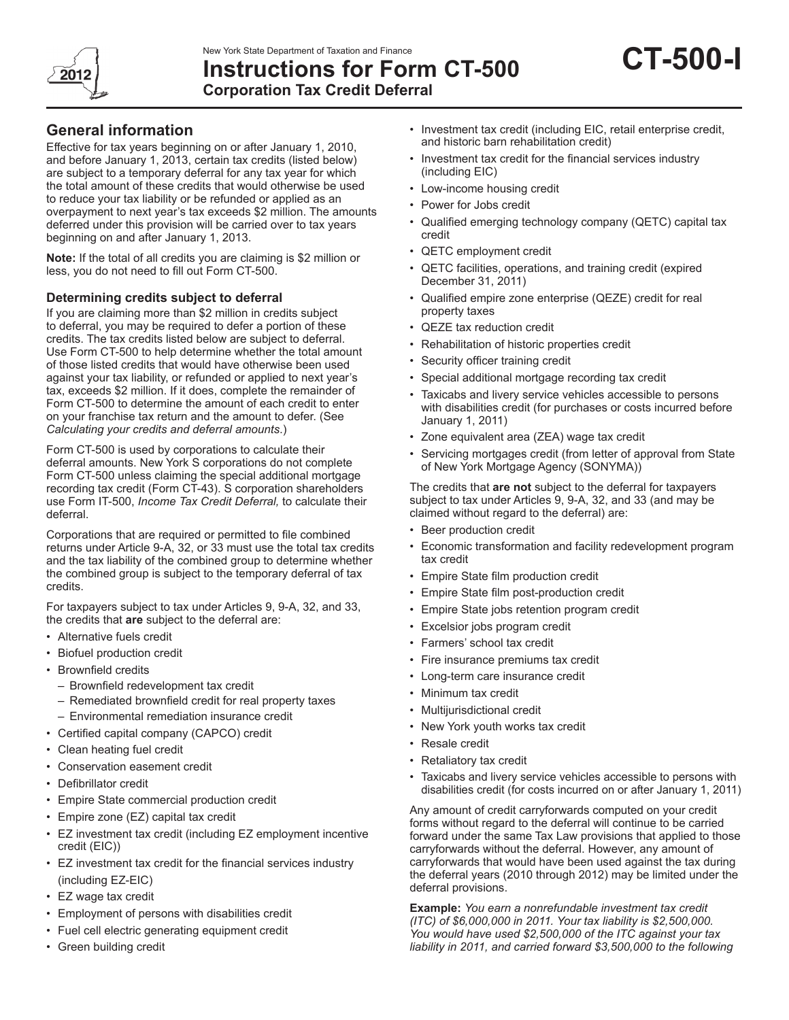

# **Instructions for Form CT-500 Corporation Tax Credit Deferral**

## **General information**

Effective for tax years beginning on or after January 1, 2010, and before January 1, 2013, certain tax credits (listed below) are subject to a temporary deferral for any tax year for which the total amount of these credits that would otherwise be used to reduce your tax liability or be refunded or applied as an overpayment to next year's tax exceeds \$2 million. The amounts deferred under this provision will be carried over to tax years beginning on and after January 1, 2013.

**Note:** If the total of all credits you are claiming is \$2 million or less, you do not need to fill out Form CT-500.

## **Determining credits subject to deferral**

If you are claiming more than \$2 million in credits subject to deferral, you may be required to defer a portion of these credits. The tax credits listed below are subject to deferral. Use Form CT-500 to help determine whether the total amount of those listed credits that would have otherwise been used against your tax liability, or refunded or applied to next year's tax, exceeds \$2 million. If it does, complete the remainder of Form CT-500 to determine the amount of each credit to enter on your franchise tax return and the amount to defer. (See *Calculating your credits and deferral amounts*.)

Form CT-500 is used by corporations to calculate their deferral amounts. New York S corporations do not complete Form CT-500 unless claiming the special additional mortgage recording tax credit (Form CT-43). S corporation shareholders use Form IT-500, *Income Tax Credit Deferral,* to calculate their deferral.

Corporations that are required or permitted to file combined returns under Article 9-A, 32, or 33 must use the total tax credits and the tax liability of the combined group to determine whether the combined group is subject to the temporary deferral of tax credits.

For taxpayers subject to tax under Articles 9, 9-A, 32, and 33, the credits that **are** subject to the deferral are:

- Alternative fuels credit
- Biofuel production credit
- Brownfield credits
	- Brownfield redevelopment tax credit
	- Remediated brownfield credit for real property taxes
	- Environmental remediation insurance credit
- Certified capital company (CAPCO) credit
- Clean heating fuel credit
- Conservation easement credit
- Defibrillator credit
- Empire State commercial production credit
- Empire zone (EZ) capital tax credit
- EZ investment tax credit (including EZ employment incentive credit (EIC))
- EZ investment tax credit for the financial services industry (including EZ-EIC)
- EZ wage tax credit
- Employment of persons with disabilities credit
- Fuel cell electric generating equipment credit
- Green building credit
- Investment tax credit (including EIC, retail enterprise credit, and historic barn rehabilitation credit)
- Investment tax credit for the financial services industry (including EIC)
- Low-income housing credit
- Power for Jobs credit
- Qualified emerging technology company (QETC) capital tax credit
- QETC employment credit
- QETC facilities, operations, and training credit (expired December 31, 2011)
- Qualified empire zone enterprise (QEZE) credit for real property taxes
- QEZE tax reduction credit
- Rehabilitation of historic properties credit
- Security officer training credit
- Special additional mortgage recording tax credit
- Taxicabs and livery service vehicles accessible to persons with disabilities credit (for purchases or costs incurred before January 1, 2011)
- Zone equivalent area (ZEA) wage tax credit
- Servicing mortgages credit (from letter of approval from State of New York Mortgage Agency (SONYMA))

The credits that **are not** subject to the deferral for taxpayers subject to tax under Articles 9, 9-A, 32, and 33 (and may be claimed without regard to the deferral) are:

- Beer production credit
- Economic transformation and facility redevelopment program tax credit
- Empire State film production credit
- Empire State film post-production credit
- Empire State jobs retention program credit
- Excelsior jobs program credit
- Farmers' school tax credit
- Fire insurance premiums tax credit
- Long-term care insurance credit
- Minimum tax credit
- Multijurisdictional credit
- New York youth works tax credit
- Resale credit
- Retaliatory tax credit
- Taxicabs and livery service vehicles accessible to persons with disabilities credit (for costs incurred on or after January 1, 2011)

Any amount of credit carryforwards computed on your credit forms without regard to the deferral will continue to be carried forward under the same Tax Law provisions that applied to those carryforwards without the deferral. However, any amount of carryforwards that would have been used against the tax during the deferral years (2010 through 2012) may be limited under the deferral provisions.

**Example:** *You earn a nonrefundable investment tax credit (ITC) of \$6,000,000 in 2011. Your tax liability is \$2,500,000. You would have used \$2,500,000 of the ITC against your tax liability in 2011, and carried forward \$3,500,000 to the following*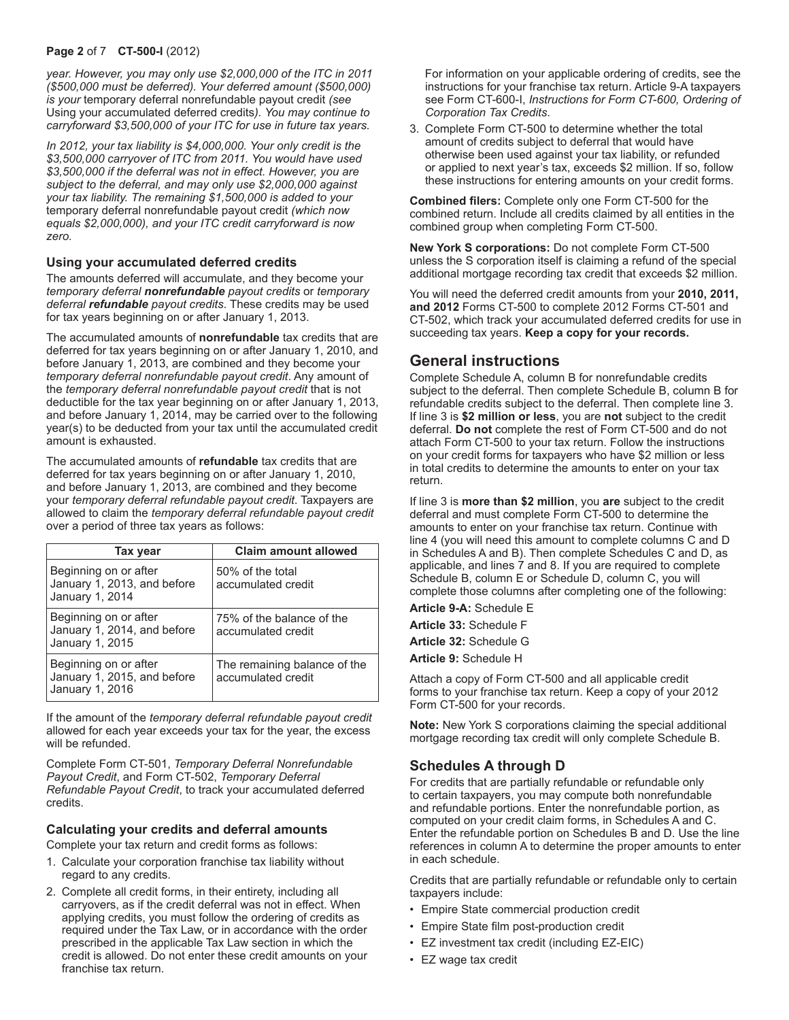### **Page 2** of 7 **CT-500-I** (2012)

*year. However, you may only use \$2,000,000 of the ITC in 2011 (\$500,000 must be deferred). Your deferred amount (\$500,000) is your* temporary deferral nonrefundable payout credit *(see*  Using your accumulated deferred credits*). You may continue to carryforward \$3,500,000 of your ITC for use in future tax years.*

*In 2012, your tax liability is \$4,000,000. Your only credit is the \$3,500,000 carryover of ITC from 2011. You would have used \$3,500,000 if the deferral was not in effect. However, you are subject to the deferral, and may only use \$2,000,000 against your tax liability. The remaining \$1,500,000 is added to your*  temporary deferral nonrefundable payout credit *(which now equals \$2,000,000), and your ITC credit carryforward is now zero.*

## **Using your accumulated deferred credits**

The amounts deferred will accumulate, and they become your *temporary deferral nonrefundable payout credits* or *temporary deferral refundable payout credits*. These credits may be used for tax years beginning on or after January 1, 2013.

The accumulated amounts of **nonrefundable** tax credits that are deferred for tax years beginning on or after January 1, 2010, and before January 1, 2013, are combined and they become your *temporary deferral nonrefundable payout credit*. Any amount of the *temporary deferral nonrefundable payout credit* that is not deductible for the tax year beginning on or after January 1, 2013, and before January 1, 2014, may be carried over to the following year(s) to be deducted from your tax until the accumulated credit amount is exhausted.

The accumulated amounts of **refundable** tax credits that are deferred for tax years beginning on or after January 1, 2010, and before January 1, 2013, are combined and they become your *temporary deferral refundable payout credit*. Taxpayers are allowed to claim the *temporary deferral refundable payout credit* over a period of three tax years as follows:

| Tax year                                                                | <b>Claim amount allowed</b>                        |
|-------------------------------------------------------------------------|----------------------------------------------------|
| Beginning on or after<br>January 1, 2013, and before<br>January 1, 2014 | 50% of the total<br>accumulated credit             |
| Beginning on or after<br>January 1, 2014, and before<br>January 1, 2015 | 75% of the balance of the<br>accumulated credit    |
| Beginning on or after<br>January 1, 2015, and before<br>January 1, 2016 | The remaining balance of the<br>accumulated credit |

If the amount of the *temporary deferral refundable payout credit* allowed for each year exceeds your tax for the year, the excess will be refunded.

Complete Form CT-501, *Temporary Deferral Nonrefundable Payout Credit*, and Form CT-502, *Temporary Deferral Refundable Payout Credit*, to track your accumulated deferred credits.

## **Calculating your credits and deferral amounts**

Complete your tax return and credit forms as follows:

- 1. Calculate your corporation franchise tax liability without regard to any credits.
- 2. Complete all credit forms, in their entirety, including all carryovers, as if the credit deferral was not in effect. When applying credits, you must follow the ordering of credits as required under the Tax Law, or in accordance with the order prescribed in the applicable Tax Law section in which the credit is allowed. Do not enter these credit amounts on your franchise tax return.

For information on your applicable ordering of credits, see the instructions for your franchise tax return. Article 9-A taxpayers see Form CT-600-I, *Instructions for Form CT-600, Ordering of Corporation Tax Credits*.

3. Complete Form CT-500 to determine whether the total amount of credits subject to deferral that would have otherwise been used against your tax liability, or refunded or applied to next year's tax, exceeds \$2 million. If so, follow these instructions for entering amounts on your credit forms.

**Combined filers:** Complete only one Form CT-500 for the combined return. Include all credits claimed by all entities in the combined group when completing Form CT-500.

**New York S corporations:** Do not complete Form CT-500 unless the S corporation itself is claiming a refund of the special additional mortgage recording tax credit that exceeds \$2 million.

You will need the deferred credit amounts from your **2010, 2011, and 2012** Forms CT-500 to complete 2012 Forms CT-501 and CT-502, which track your accumulated deferred credits for use in succeeding tax years. **Keep a copy for your records.**

## **General instructions**

Complete Schedule A, column B for nonrefundable credits subject to the deferral. Then complete Schedule B, column B for refundable credits subject to the deferral. Then complete line 3. If line 3 is **\$2 million or less**, you are **not** subject to the credit deferral. **Do not** complete the rest of Form CT-500 and do not attach Form CT-500 to your tax return. Follow the instructions on your credit forms for taxpayers who have \$2 million or less in total credits to determine the amounts to enter on your tax return.

If line 3 is **more than \$2 million**, you **are** subject to the credit deferral and must complete Form CT-500 to determine the amounts to enter on your franchise tax return. Continue with line 4 (you will need this amount to complete columns C and D in Schedules A and B). Then complete Schedules C and D, as applicable, and lines 7 and 8. If you are required to complete Schedule B, column E or Schedule D, column C, you will complete those columns after completing one of the following:

**Article 9-A:** Schedule E

**Article 33:** Schedule F

**Article 32:** Schedule G

**Article 9:** Schedule H

Attach a copy of Form CT-500 and all applicable credit forms to your franchise tax return. Keep a copy of your 2012 Form CT-500 for your records.

**Note:** New York S corporations claiming the special additional mortgage recording tax credit will only complete Schedule B.

## **Schedules A through D**

For credits that are partially refundable or refundable only to certain taxpayers, you may compute both nonrefundable and refundable portions. Enter the nonrefundable portion, as computed on your credit claim forms, in Schedules A and C. Enter the refundable portion on Schedules B and D. Use the line references in column A to determine the proper amounts to enter in each schedule.

Credits that are partially refundable or refundable only to certain taxpayers include:

- Empire State commercial production credit
- Empire State film post-production credit
- EZ investment tax credit (including EZ-EIC)
- EZ wage tax credit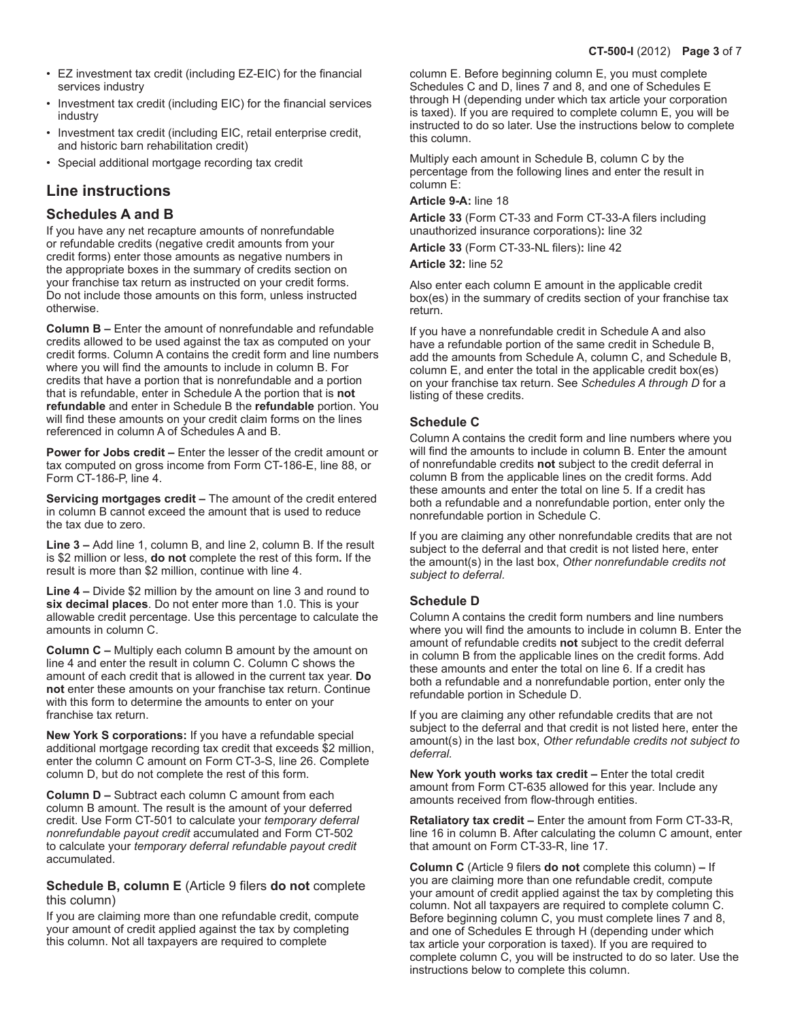- EZ investment tax credit (including EZ-EIC) for the financial services industry
- Investment tax credit (including EIC) for the financial services industry
- Investment tax credit (including EIC, retail enterprise credit, and historic barn rehabilitation credit)
- Special additional mortgage recording tax credit

## **Line instructions**

## **Schedules A and B**

If you have any net recapture amounts of nonrefundable or refundable credits (negative credit amounts from your credit forms) enter those amounts as negative numbers in the appropriate boxes in the summary of credits section on your franchise tax return as instructed on your credit forms. Do not include those amounts on this form, unless instructed otherwise.

**Column B –** Enter the amount of nonrefundable and refundable credits allowed to be used against the tax as computed on your credit forms. Column A contains the credit form and line numbers where you will find the amounts to include in column B. For credits that have a portion that is nonrefundable and a portion that is refundable, enter in Schedule A the portion that is **not refundable** and enter in Schedule B the **refundable** portion. You will find these amounts on your credit claim forms on the lines referenced in column A of Schedules A and B.

**Power for Jobs credit –** Enter the lesser of the credit amount or tax computed on gross income from Form CT-186-E, line 88, or Form CT-186-P, line 4.

**Servicing mortgages credit –** The amount of the credit entered in column B cannot exceed the amount that is used to reduce the tax due to zero.

**Line 3 –** Add line 1, column B, and line 2, column B. If the result is \$2 million or less, **do not** complete the rest of this form**.** If the result is more than \$2 million, continue with line 4.

**Line 4 –** Divide \$2 million by the amount on line 3 and round to **six decimal places**. Do not enter more than 1.0. This is your allowable credit percentage. Use this percentage to calculate the amounts in column C.

**Column C –** Multiply each column B amount by the amount on line 4 and enter the result in column C. Column C shows the amount of each credit that is allowed in the current tax year. **Do not** enter these amounts on your franchise tax return. Continue with this form to determine the amounts to enter on your franchise tax return.

**New York S corporations:** If you have a refundable special additional mortgage recording tax credit that exceeds \$2 million, enter the column C amount on Form CT-3-S, line 26. Complete column D, but do not complete the rest of this form.

**Column D –** Subtract each column C amount from each column B amount. The result is the amount of your deferred credit. Use Form CT-501 to calculate your *temporary deferral nonrefundable payout credit* accumulated and Form CT-502 to calculate your *temporary deferral refundable payout credit* accumulated.

**Schedule B, column E** (Article 9 filers **do not** complete this column)

If you are claiming more than one refundable credit, compute your amount of credit applied against the tax by completing this column. Not all taxpayers are required to complete

column E. Before beginning column E, you must complete Schedules C and D, lines 7 and 8, and one of Schedules E through H (depending under which tax article your corporation is taxed). If you are required to complete column E, you will be instructed to do so later. Use the instructions below to complete this column.

Multiply each amount in Schedule B, column C by the percentage from the following lines and enter the result in column E:

## **Article 9-A:** line 18

**Article 33** (Form CT-33 and Form CT-33-A filers including unauthorized insurance corporations)**:** line 32

**Article 33** (Form CT-33-NL filers)**:** line 42

#### **Article 32:** line 52

Also enter each column E amount in the applicable credit box(es) in the summary of credits section of your franchise tax return.

If you have a nonrefundable credit in Schedule A and also have a refundable portion of the same credit in Schedule B, add the amounts from Schedule A, column C, and Schedule B, column E, and enter the total in the applicable credit box(es) on your franchise tax return. See *Schedules A through D* for a listing of these credits.

## **Schedule C**

Column A contains the credit form and line numbers where you will find the amounts to include in column B. Enter the amount of nonrefundable credits **not** subject to the credit deferral in column B from the applicable lines on the credit forms. Add these amounts and enter the total on line 5. If a credit has both a refundable and a nonrefundable portion, enter only the nonrefundable portion in Schedule C.

If you are claiming any other nonrefundable credits that are not subject to the deferral and that credit is not listed here, enter the amount(s) in the last box, *Other nonrefundable credits not subject to deferral.*

## **Schedule D**

Column A contains the credit form numbers and line numbers where you will find the amounts to include in column B. Enter the amount of refundable credits **not** subject to the credit deferral in column B from the applicable lines on the credit forms. Add these amounts and enter the total on line 6. If a credit has both a refundable and a nonrefundable portion, enter only the refundable portion in Schedule D.

If you are claiming any other refundable credits that are not subject to the deferral and that credit is not listed here, enter the amount(s) in the last box, *Other refundable credits not subject to deferral.*

**New York youth works tax credit –** Enter the total credit amount from Form CT-635 allowed for this year. Include any amounts received from flow-through entities.

**Retaliatory tax credit –** Enter the amount from Form CT-33-R, line 16 in column B. After calculating the column C amount, enter that amount on Form CT-33-R, line 17.

**Column C** (Article 9 filers **do not** complete this column) **–** If you are claiming more than one refundable credit, compute your amount of credit applied against the tax by completing this column. Not all taxpayers are required to complete column C. Before beginning column C, you must complete lines 7 and 8, and one of Schedules E through H (depending under which tax article your corporation is taxed). If you are required to complete column C, you will be instructed to do so later. Use the instructions below to complete this column.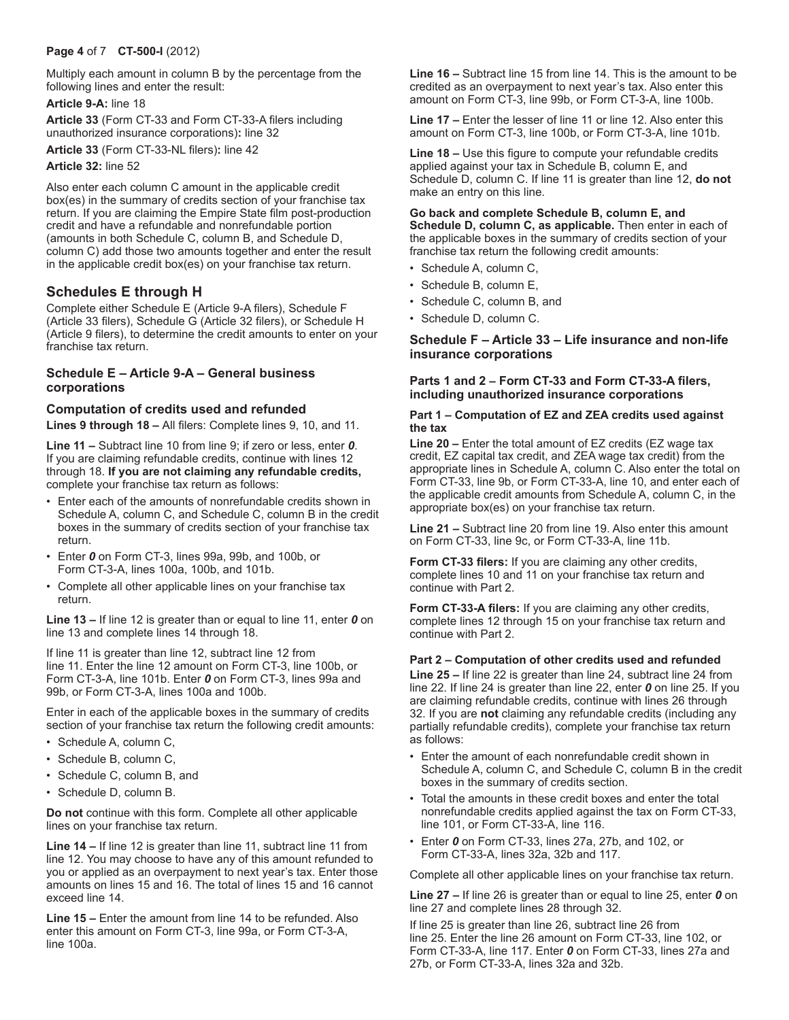## **Page 4** of 7 **CT-500-I** (2012)

Multiply each amount in column B by the percentage from the following lines and enter the result:

### **Article 9-A:** line 18

**Article 33** (Form CT-33 and Form CT-33-A filers including unauthorized insurance corporations)**:** line 32

**Article 33** (Form CT-33-NL filers)**:** line 42

**Article 32:** line 52

Also enter each column C amount in the applicable credit box(es) in the summary of credits section of your franchise tax return. If you are claiming the Empire State film post-production credit and have a refundable and nonrefundable portion (amounts in both Schedule C, column B, and Schedule D, column C) add those two amounts together and enter the result in the applicable credit box(es) on your franchise tax return.

## **Schedules E through H**

Complete either Schedule E (Article 9-A filers), Schedule F (Article 33 filers), Schedule G (Article 32 filers), or Schedule H (Article 9 filers), to determine the credit amounts to enter on your franchise tax return.

## **Schedule E – Article 9-A – General business corporations**

## **Computation of credits used and refunded**

**Lines 9 through 18 –** All filers: Complete lines 9, 10, and 11.

**Line 11 –** Subtract line 10 from line 9; if zero or less, enter *0*. If you are claiming refundable credits, continue with lines 12 through 18. **If you are not claiming any refundable credits,**  complete your franchise tax return as follows:

- Enter each of the amounts of nonrefundable credits shown in Schedule A, column C, and Schedule C, column B in the credit boxes in the summary of credits section of your franchise tax return.
- Enter *0* on Form CT-3, lines 99a, 99b, and 100b, or Form CT-3-A, lines 100a, 100b, and 101b.
- Complete all other applicable lines on your franchise tax return.

**Line 13 –** If line 12 is greater than or equal to line 11, enter *0* on line 13 and complete lines 14 through 18.

If line 11 is greater than line 12, subtract line 12 from line 11. Enter the line 12 amount on Form CT-3, line 100b, or Form CT-3-A, line 101b. Enter *0* on Form CT-3, lines 99a and 99b, or Form CT-3-A, lines 100a and 100b.

Enter in each of the applicable boxes in the summary of credits section of your franchise tax return the following credit amounts:

- Schedule A, column C,
- Schedule B, column C,
- Schedule C, column B, and
- Schedule D, column B.

**Do not** continue with this form. Complete all other applicable lines on your franchise tax return.

**Line 14 –** If line 12 is greater than line 11, subtract line 11 from line 12. You may choose to have any of this amount refunded to you or applied as an overpayment to next year's tax. Enter those amounts on lines 15 and 16. The total of lines 15 and 16 cannot exceed line 14.

**Line 15 –** Enter the amount from line 14 to be refunded. Also enter this amount on Form CT-3, line 99a, or Form CT-3-A, line 100a.

**Line 16 –** Subtract line 15 from line 14. This is the amount to be credited as an overpayment to next year's tax. Also enter this amount on Form CT-3, line 99b, or Form CT-3-A, line 100b.

**Line 17 –** Enter the lesser of line 11 or line 12. Also enter this amount on Form CT-3, line 100b, or Form CT-3-A, line 101b.

**Line 18 –** Use this figure to compute your refundable credits applied against your tax in Schedule B, column E, and Schedule D, column C. If line 11 is greater than line 12, **do not** make an entry on this line.

#### **Go back and complete Schedule B, column E, and**  Schedule D, column C, as applicable. Then enter in each of the applicable boxes in the summary of credits section of your franchise tax return the following credit amounts:

- Schedule A, column C,
- Schedule B, column E,
- Schedule C, column B, and
- Schedule D, column C.

## **Schedule F – Article 33 – Life insurance and non-life insurance corporations**

## **Parts 1 and 2 – Form CT-33 and Form CT-33-A filers, including unauthorized insurance corporations**

#### **Part 1 – Computation of EZ and ZEA credits used against the tax**

**Line 20 –** Enter the total amount of EZ credits (EZ wage tax credit, EZ capital tax credit, and ZEA wage tax credit) from the appropriate lines in Schedule A, column C. Also enter the total on Form CT-33, line 9b, or Form CT-33-A, line 10, and enter each of the applicable credit amounts from Schedule A, column C, in the appropriate box(es) on your franchise tax return.

**Line 21 –** Subtract line 20 from line 19. Also enter this amount on Form CT-33, line 9c, or Form CT-33-A, line 11b.

**Form CT-33 filers:** If you are claiming any other credits, complete lines 10 and 11 on your franchise tax return and continue with Part 2.

**Form CT-33-A filers:** If you are claiming any other credits, complete lines 12 through 15 on your franchise tax return and continue with Part 2.

## **Part 2 – Computation of other credits used and refunded**

**Line 25 –** If line 22 is greater than line 24, subtract line 24 from line 22. If line 24 is greater than line 22, enter *0* on line 25. If you are claiming refundable credits, continue with lines 26 through 32. If you are **not** claiming any refundable credits (including any partially refundable credits), complete your franchise tax return as follows:

- Enter the amount of each nonrefundable credit shown in Schedule A, column C, and Schedule C, column B in the credit boxes in the summary of credits section.
- Total the amounts in these credit boxes and enter the total nonrefundable credits applied against the tax on Form CT-33, line 101, or Form CT-33-A, line 116.
- Enter *0* on Form CT-33, lines 27a, 27b, and 102, or Form CT-33-A, lines 32a, 32b and 117.

Complete all other applicable lines on your franchise tax return.

**Line 27 –** If line 26 is greater than or equal to line 25, enter *0* on line 27 and complete lines 28 through 32.

If line 25 is greater than line 26, subtract line 26 from line 25. Enter the line 26 amount on Form CT-33, line 102, or Form CT-33-A, line 117. Enter *0* on Form CT-33, lines 27a and 27b, or Form CT-33-A, lines 32a and 32b.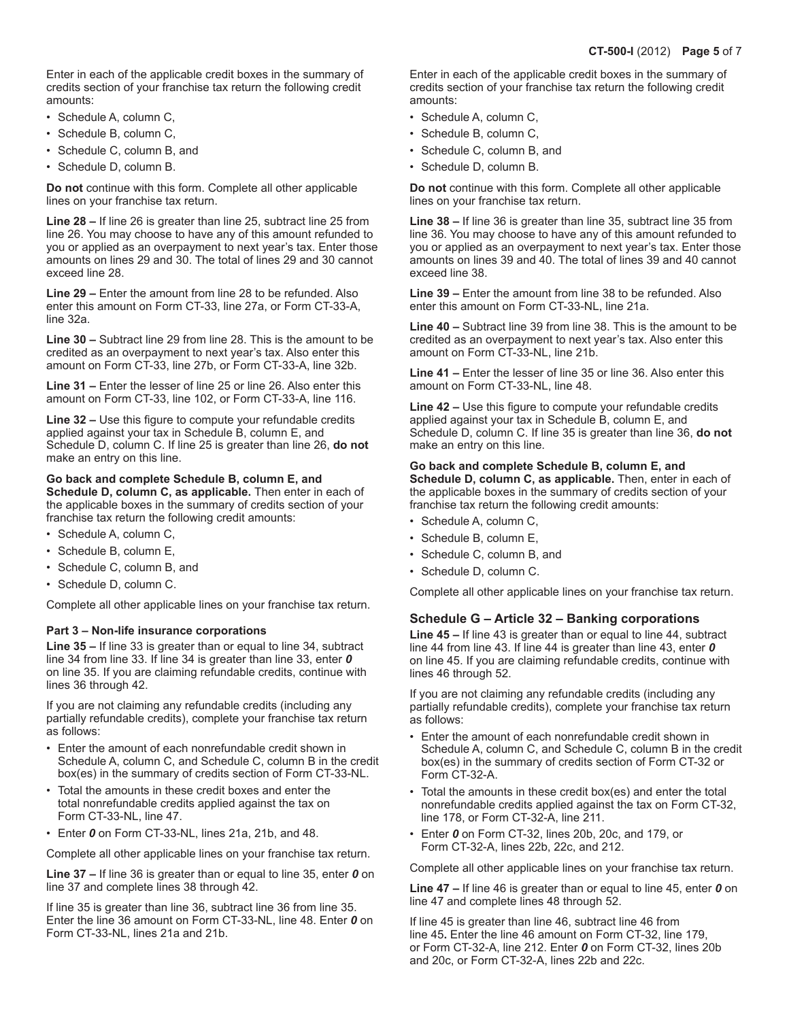Enter in each of the applicable credit boxes in the summary of credits section of your franchise tax return the following credit amounts:

- Schedule A, column C,
- Schedule B, column C,
- Schedule C, column B, and
- Schedule D, column B.

**Do not** continue with this form. Complete all other applicable lines on your franchise tax return.

**Line 28 –** If line 26 is greater than line 25, subtract line 25 from line 26. You may choose to have any of this amount refunded to you or applied as an overpayment to next year's tax. Enter those amounts on lines 29 and 30. The total of lines 29 and 30 cannot exceed line 28.

**Line 29 –** Enter the amount from line 28 to be refunded. Also enter this amount on Form CT-33, line 27a, or Form CT-33-A, line 32a.

**Line 30 –** Subtract line 29 from line 28. This is the amount to be credited as an overpayment to next year's tax. Also enter this amount on Form CT-33, line 27b, or Form CT-33-A, line 32b.

**Line 31 –** Enter the lesser of line 25 or line 26. Also enter this amount on Form CT-33, line 102, or Form CT-33-A, line 116.

**Line 32 –** Use this figure to compute your refundable credits applied against your tax in Schedule B, column E, and Schedule D, column C. If line 25 is greater than line 26, **do not** make an entry on this line.

## **Go back and complete Schedule B, column E, and**

**Schedule D, column C, as applicable.** Then enter in each of the applicable boxes in the summary of credits section of your franchise tax return the following credit amounts:

- Schedule A, column C,
- Schedule B, column E,
- Schedule C, column B, and
- Schedule D, column C.

Complete all other applicable lines on your franchise tax return.

## **Part 3 – Non-life insurance corporations**

**Line 35 –** If line 33 is greater than or equal to line 34, subtract line 34 from line 33. If line 34 is greater than line 33, enter *0* on line 35. If you are claiming refundable credits, continue with lines 36 through 42.

If you are not claiming any refundable credits (including any partially refundable credits), complete your franchise tax return as follows:

- Enter the amount of each nonrefundable credit shown in Schedule A, column C, and Schedule C, column B in the credit box(es) in the summary of credits section of Form CT-33-NL.
- Total the amounts in these credit boxes and enter the total nonrefundable credits applied against the tax on Form CT-33-NL, line 47.
- Enter *0* on Form CT-33-NL, lines 21a, 21b, and 48.

Complete all other applicable lines on your franchise tax return.

**Line 37 –** If line 36 is greater than or equal to line 35, enter *0* on line 37 and complete lines 38 through 42.

If line 35 is greater than line 36, subtract line 36 from line 35. Enter the line 36 amount on Form CT-33-NL, line 48. Enter *0* on Form CT-33-NL, lines 21a and 21b.

Enter in each of the applicable credit boxes in the summary of credits section of your franchise tax return the following credit amounts:

- Schedule A, column C,
- Schedule B, column C,
- Schedule C, column B, and
- Schedule D, column B.

**Do not** continue with this form. Complete all other applicable lines on your franchise tax return.

**Line 38 –** If line 36 is greater than line 35, subtract line 35 from line 36. You may choose to have any of this amount refunded to you or applied as an overpayment to next year's tax. Enter those amounts on lines 39 and 40. The total of lines 39 and 40 cannot exceed line 38.

**Line 39 –** Enter the amount from line 38 to be refunded. Also enter this amount on Form CT-33-NL, line 21a.

**Line 40 –** Subtract line 39 from line 38. This is the amount to be credited as an overpayment to next year's tax. Also enter this amount on Form CT-33-NL, line 21b.

**Line 41 –** Enter the lesser of line 35 or line 36. Also enter this amount on Form CT-33-NL, line 48.

**Line 42 –** Use this figure to compute your refundable credits applied against your tax in Schedule B, column E, and Schedule D, column C. If line 35 is greater than line 36, **do not** make an entry on this line.

## **Go back and complete Schedule B, column E, and**

**Schedule D, column C, as applicable.** Then, enter in each of the applicable boxes in the summary of credits section of your franchise tax return the following credit amounts:

- Schedule A, column C,
- Schedule B, column E,
- Schedule C, column B, and
- Schedule D, column C.

Complete all other applicable lines on your franchise tax return.

## **Schedule G – Article 32 – Banking corporations**

**Line 45 –** If line 43 is greater than or equal to line 44, subtract line 44 from line 43. If line 44 is greater than line 43, enter *0* on line 45. If you are claiming refundable credits, continue with lines 46 through 52.

If you are not claiming any refundable credits (including any partially refundable credits), complete your franchise tax return as follows:

- Enter the amount of each nonrefundable credit shown in Schedule A, column C, and Schedule C, column B in the credit box(es) in the summary of credits section of Form CT-32 or Form CT-32-A.
- Total the amounts in these credit box(es) and enter the total nonrefundable credits applied against the tax on Form CT-32, line 178, or Form CT-32-A, line 211.
- Enter *0* on Form CT-32, lines 20b, 20c, and 179, or Form CT-32-A, lines 22b, 22c, and 212.

Complete all other applicable lines on your franchise tax return.

**Line 47 –** If line 46 is greater than or equal to line 45, enter *0* on line 47 and complete lines 48 through 52.

If line 45 is greater than line 46, subtract line 46 from line 45**.** Enter the line 46 amount on Form CT-32, line 179, or Form CT-32-A, line 212. Enter *0* on Form CT-32, lines 20b and 20c, or Form CT-32-A, lines 22b and 22c.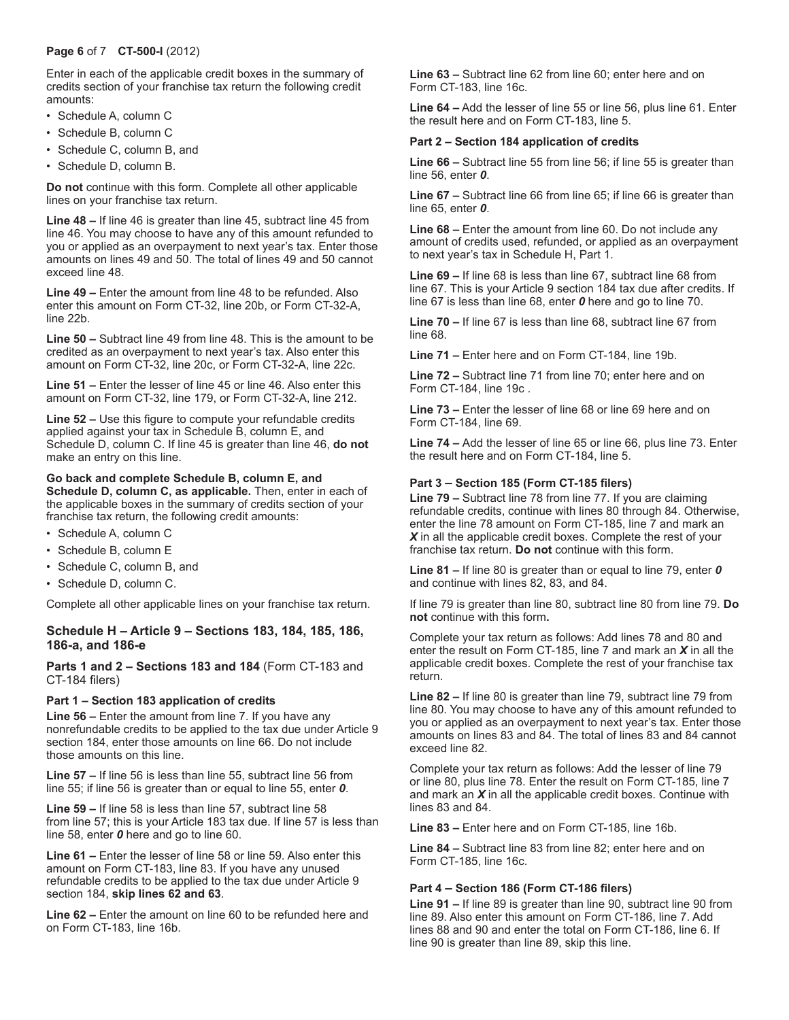## **Page 6** of 7 **CT-500-I** (2012)

Enter in each of the applicable credit boxes in the summary of credits section of your franchise tax return the following credit amounts:

- Schedule A, column C
- Schedule B, column C
- Schedule C, column B, and
- Schedule D, column B.

**Do not** continue with this form. Complete all other applicable lines on your franchise tax return.

**Line 48 –** If line 46 is greater than line 45, subtract line 45 from line 46. You may choose to have any of this amount refunded to you or applied as an overpayment to next year's tax. Enter those amounts on lines 49 and 50. The total of lines 49 and 50 cannot exceed line 48.

**Line 49 –** Enter the amount from line 48 to be refunded. Also enter this amount on Form CT-32, line 20b, or Form CT-32-A, line 22b.

**Line 50 –** Subtract line 49 from line 48. This is the amount to be credited as an overpayment to next year's tax. Also enter this amount on Form CT-32, line 20c, or Form CT-32-A, line 22c.

**Line 51 –** Enter the lesser of line 45 or line 46. Also enter this amount on Form CT-32, line 179, or Form CT-32-A, line 212.

**Line 52 –** Use this figure to compute your refundable credits applied against your tax in Schedule B, column E, and Schedule D, column C. If line 45 is greater than line 46, **do not** make an entry on this line.

## **Go back and complete Schedule B, column E, and**

**Schedule D, column C, as applicable.** Then, enter in each of the applicable boxes in the summary of credits section of your franchise tax return, the following credit amounts:

- Schedule A, column C
- Schedule B, column E
- Schedule C, column B, and
- Schedule D, column C.

Complete all other applicable lines on your franchise tax return.

## **Schedule H – Article 9 – Sections 183, 184, 185, 186, 186-a, and 186-e**

**Parts 1 and 2 – Sections 183 and 184** (Form CT-183 and CT-184 filers)

## **Part 1 – Section 183 application of credits**

**Line 56 –** Enter the amount from line 7. If you have any nonrefundable credits to be applied to the tax due under Article 9 section 184, enter those amounts on line 66. Do not include those amounts on this line.

**Line 57 –** If line 56 is less than line 55, subtract line 56 from line 55; if line 56 is greater than or equal to line 55, enter *0*.

**Line 59 –** If line 58 is less than line 57, subtract line 58 from line 57; this is your Article 183 tax due. If line 57 is less than line 58, enter *0* here and go to line 60.

**Line 61 –** Enter the lesser of line 58 or line 59. Also enter this amount on Form CT-183, line 83. If you have any unused refundable credits to be applied to the tax due under Article 9 section 184, **skip lines 62 and 63**.

**Line 62 –** Enter the amount on line 60 to be refunded here and on Form CT-183, line 16b.

**Line 63 –** Subtract line 62 from line 60; enter here and on Form CT-183, line 16c.

**Line 64 –** Add the lesser of line 55 or line 56, plus line 61. Enter the result here and on Form CT-183, line 5.

#### **Part 2 – Section 184 application of credits**

**Line 66 –** Subtract line 55 from line 56; if line 55 is greater than line 56, enter *0*.

**Line 67 –** Subtract line 66 from line 65; if line 66 is greater than line 65, enter *0*.

**Line 68 –** Enter the amount from line 60. Do not include any amount of credits used, refunded, or applied as an overpayment to next year's tax in Schedule H, Part 1.

**Line 69 –** If line 68 is less than line 67, subtract line 68 from line 67. This is your Article 9 section 184 tax due after credits. If line 67 is less than line 68, enter *0* here and go to line 70.

**Line 70 –** If line 67 is less than line 68, subtract line 67 from line 68.

**Line 71 –** Enter here and on Form CT-184, line 19b.

**Line 72 –** Subtract line 71 from line 70; enter here and on Form CT-184, line 19c .

**Line 73 –** Enter the lesser of line 68 or line 69 here and on Form CT-184, line 69.

**Line 74 –** Add the lesser of line 65 or line 66, plus line 73. Enter the result here and on Form CT-184, line 5.

### **Part 3 – Section 185 (Form CT-185 filers)**

**Line 79 –** Subtract line 78 from line 77. If you are claiming refundable credits, continue with lines 80 through 84. Otherwise, enter the line 78 amount on Form CT-185, line 7 and mark an *X* in all the applicable credit boxes. Complete the rest of your franchise tax return. **Do not** continue with this form.

**Line 81 –** If line 80 is greater than or equal to line 79, enter *0* and continue with lines 82, 83, and 84.

If line 79 is greater than line 80, subtract line 80 from line 79. **Do not** continue with this form**.**

Complete your tax return as follows: Add lines 78 and 80 and enter the result on Form CT-185, line 7 and mark an *X* in all the applicable credit boxes. Complete the rest of your franchise tax return.

**Line 82 –** If line 80 is greater than line 79, subtract line 79 from line 80. You may choose to have any of this amount refunded to you or applied as an overpayment to next year's tax. Enter those amounts on lines 83 and 84. The total of lines 83 and 84 cannot exceed line 82.

Complete your tax return as follows: Add the lesser of line 79 or line 80, plus line 78. Enter the result on Form CT-185, line 7 and mark an *X* in all the applicable credit boxes. Continue with lines 83 and 84.

**Line 83 –** Enter here and on Form CT-185, line 16b.

**Line 84 –** Subtract line 83 from line 82; enter here and on Form CT-185, line 16c.

#### **Part 4 – Section 186 (Form CT-186 filers)**

**Line 91 –** If line 89 is greater than line 90, subtract line 90 from line 89. Also enter this amount on Form CT-186, line 7. Add lines 88 and 90 and enter the total on Form CT-186, line 6. If line 90 is greater than line 89, skip this line.